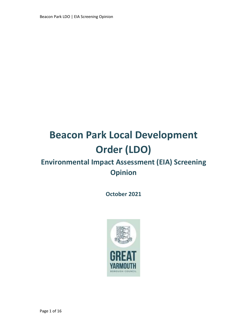# **Beacon Park Local Development Order (LDO)**

## **Environmental Impact Assessment (EIA) Screening Opinion**

**October 2021**

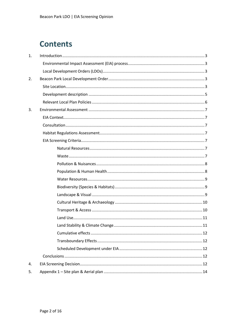## **Contents**

| 1. |  |
|----|--|
|    |  |
|    |  |
| 2. |  |
|    |  |
|    |  |
|    |  |
| 3. |  |
|    |  |
|    |  |
|    |  |
|    |  |
|    |  |
|    |  |
|    |  |
|    |  |
|    |  |
|    |  |
|    |  |
|    |  |
|    |  |
|    |  |
|    |  |
|    |  |
|    |  |
|    |  |
|    |  |
| 4. |  |
| 5. |  |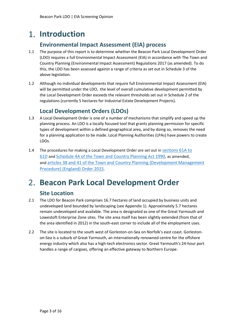## <span id="page-2-0"></span>**Introduction**

## **Environmental Impact Assessment (EIA) process**

- <span id="page-2-1"></span>1.1 The purpose of this report is to determine whether the Beacon Park Local Development Order (LDO) requires a full Environmental Impact Assessment (EIA) in accordance with [The Town and](https://www.legislation.gov.uk/uksi/2017/571/contents/made)  [Country Planning \(Environmental Impact Assessment\) Regulations 2017 \(as amended\).](https://www.legislation.gov.uk/uksi/2017/571/contents/made) To do this, the LDO has been assessed against a range of criteria as set out in Schedule 3 of the above legislation.
- 1.2 Although no individual developments that require full Environmental Impact Assessment (EIA) will be permitted under the LDO, the level of overall cumulative development permitted by the Local Development Order exceeds the relevant thresholds set out in Schedule 2 of the regulations (currently 5 hectares for Industrial Estate Development Projects).

## **Local Development Orders (LDOs)**

- <span id="page-2-2"></span>1.3 A Local Development Order is one of a number of mechanisms that simplify and speed up the planning process. An LDO is a locally focused tool that grants planning permission for specific types of development within a defined geographical area, and by doing so, removes the need for a planning application to be made. Local Planning Authorities (LPAs) have powers to create LDOs.
- 1.4 The procedures for making a Local Development Order are set out in [sections](http://www.legislation.gov.uk/ukpga/1990/8/part/III/crossheading/local-development-orders) 61A to [61D](http://www.legislation.gov.uk/ukpga/1990/8/part/III/crossheading/local-development-orders) and [Schedule](http://www.legislation.gov.uk/ukpga/1990/8/schedule/4A) 4A of the Town and Country Planning Act 1990, as amended, and articles 38 and 41 of the Town and Country Planning [\(Development](http://www.legislation.gov.uk/uksi/2015/595/article/38/made) Management [Procedure\)](http://www.legislation.gov.uk/uksi/2015/595/article/38/made) (England) Order 2015.

## <span id="page-2-3"></span>**Beacon Park Local Development Order**

### **Site Location**

- <span id="page-2-4"></span>2.1 The LDO for Beacon Park comprises 16.7 hectares of land occupied by business units and undeveloped land bounded by landscaping (see Appendix 1). Approximately 5.7 hectares remain undeveloped and available. The area is designated as one of the Great Yarmouth and Lowestoft Enterprise Zone sites. The site area itself has been slightly extended (from that of the area identified in 2012) in the south-east corner to include all of the employment uses.
- 2.2 The site is located to the south west of Gorleston-on-Sea on Norfolk's east coast. Gorlestonon-Sea is a suburb of Great Yarmouth, an internationally renowned centre for the offshore energy industry which also has a high-tech electronics sector. Great Yarmouth's 24-hour port handles a range of cargoes, offering an effective gateway to Northern Europe.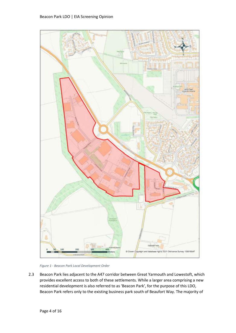

*Figure 1 - Beacon Park Local Development Order*

2.3 Beacon Park lies adjacent to the A47 corridor between Great Yarmouth and Lowestoft, which provides excellent access to both of these settlements. While a larger area comprising a new residential development is also referred to as 'Beacon Park', for the purpose of this LDO, Beacon Park refers only to the existing business park south of Beaufort Way. The majority of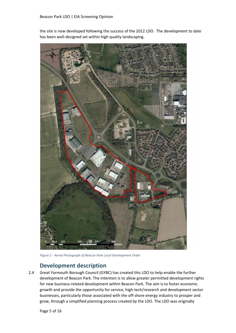

the site is now developed following the success of the 2012 LDO. The development to date has been well-designed set within high quality landscaping.

*Figure 2 - Aerial Photograph of Beacon Park Local Development Order*

### **Development description**

<span id="page-4-0"></span>2.4 Great Yarmouth Borough Council (GYBC) has created this LDO to help enable the further development of Beacon Park. The intention is to allow greater permitted development rights for new business-related development within Beacon Park. The aim is to foster economic growth and provide the opportunity for service, high-tech/research and development sector businesses, particularly those associated with the off-shore energy industry to prosper and grow, through a simplified planning process created by the LDO. The LDO was originally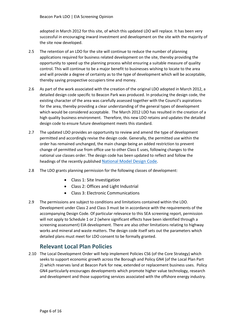adopted in March 2012 for this site, of which this updated LDO will replace. It has been very successful in encouraging inward investment and development on the site with the majority of the site now developed.

- 2.5 The retention of an LDO for the site will continue to reduce the number of planning applications required for business related development on the site, thereby providing the opportunity to speed up the planning process whilst ensuring a suitable measure of quality control. This will continue to be a major benefit to businesses wishing to locate to the area and will provide a degree of certainty as to the type of development which will be acceptable, thereby saving prospective occupiers time and money.
- 2.6 As part of the work associated with the creation of the original LDO adopted in March 2012, a detailed design code specific to Beacon Park was produced. In producing the design code, the existing character of the area was carefully assessed together with the Council's aspirations for the area, thereby providing a clear understanding of the general types of development which would be considered acceptable. The March 2012 LDO has resulted in the creation of a high quality business environment. Therefore, this new LDO retains and updates the detailed design code to ensure future development meets this standard.
- 2.7 The updated LDO provides an opportunity to review and amend the type of development permitted and accordingly revise the design code. Generally, the permitted use within the order has remained unchanged, the main change being an added restriction to prevent change of permitted use from office use to other Class E uses, following changes to the national use classes order. The design code has been updated to reflect and follow the headings of the recently published [National Model Design Code](https://www.gov.uk/government/publications/national-model-design-code).
- 2.8 The LDO grants planning permission for the following classes of development:
	- Class 1: Site Investigation
	- Class 2: Offices and Light Industrial
	- Class 3: Electronic Communications
- 2.9 The permissions are subject to conditions and limitations contained within the LDO. Development under Class 2 and Class 3 must be in accordance with the requirements of the accompanying Design Code. Of particular relevance to this SEA screening report, permission will not apply to Schedule 1 or 2 (where significant effects have been identified through a screening assessment) EIA development. There are also other limitations relating to highway works and mineral and waste matters. The design code itself sets out the parameters which detailed plans must meet for LDO consent to be formally granted.

### **Relevant Local Plan Policies**

<span id="page-5-0"></span>2.10 The Local Development Order will help implement Policies CS6 (of the Core Strategy) which seeks to support economic growth across the Borough and Policy GN4 (of the Local Plan Part 2) which reserves land at Beacon Park for new, extended or replacement business uses. Policy GN4 particularly encourages developments which promote higher value technology, research and development and those supporting services associated with the offshore energy industry.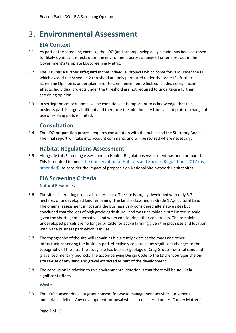## <span id="page-6-0"></span>**Environmental Assessment**

## **EIA Context**

- <span id="page-6-1"></span>3.1 As part of the screening exercise, the LDO (and accompanying design code) has been assessed for likely significant effects upon the environment across a range of criteria set out in the Government's template EIA Screening Matrix.
- 3.2 The LDO has a further safeguard in that individual projects which come forward under the LDO which exceed the Schedule 2 threshold are only permitted under the order if a further Screening Opinion is undertaken prior to commencement which concludes no significant effects. Individual projects under the threshold are not required to undertake a further screening opinion.
- 3.3 In setting the context and baseline conditions, it is important to acknowledge that the business park is largely built out and therefore the additionality from vacant plots or change of use of existing plots is limited.

### **Consultation**

<span id="page-6-2"></span>3.4 The LDO preparation process requires consultation with the public and the Statutory Bodies. The final report will take into account comments and will be revised where necessary.

### **Habitat Regulations Assessment**

<span id="page-6-3"></span>3.5 Alongside this Screening Assessment, a Habitat Regulations Assessment has been prepared. This is required to meet [The Conservation of Habitats and Species Regulations 2017 \(as](https://www.legislation.gov.uk/uksi/2017/1012/contents/made)  [amended\)](https://www.legislation.gov.uk/uksi/2017/1012/contents/made), to consider the impact of proposals on National Site Network Habitat Sites.

## <span id="page-6-4"></span>**EIA Screening Criteria**

#### Natural Resources

- <span id="page-6-5"></span>3.6 The site is in existing use as a business park. The site is largely developed with only 5.7 hectares of undeveloped land remaining. The land is classified as Grade 1 Agricultural Land. The original assessment in locating the business park considered alternative sites but concluded that the loss of high grade agricultural land was unavoidable but limited in scale given the shortage of alternative land when considering other constraints. The remaining undeveloped parcels are no longer suitable for active farming given the plot sizes and location within the business park which is in use.
- 3.7 The topography of the site will remain as it currently exists as the roads and other infrastructure serving the business park effectively constrain any significant changes to the topography of the site. The study site has bedrock geology of Crag Group – detrital sand and gravel sedimentary bedrock. The accompanying Design Code to the LDO encourages the onsite re-use of any sand and gravel extracted as part of the development.
- 3.8 The conclusion in relation to this environmental criterion is that there will be **no likely significant effect.**

#### **Waste**

<span id="page-6-6"></span>3.9 The LDO consent does not grant consent for waste management activities, or general industrial activities. Any development proposal which is considered under 'County Matters'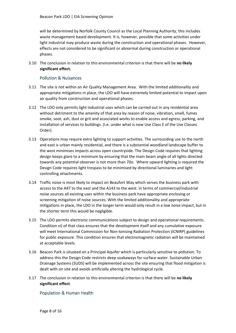will be determined by Norfolk County Council as the Local Planning Authority, this includes waste management based development. It is, however, possible that some activities under light industrial may produce waste during the construction and operational phases. However, effects are not considered to be significant or abnormal during construction or operational phases.

3.10 The conclusion in relation to this environmental criterion is that there will be **no likely significant effect.**

#### Pollution & Nuisances

- <span id="page-7-0"></span>3.11 The site is not within an Air Quality Management Area. With the limited additionality and appropriate mitigations in place, the LDO will have extremely limited potential to impact upon air quality from construction and operational phases.
- 3.12 The LDO only permits light industrial uses which can be carried out in any residential area without detriment to the amenity of that area by reason of noise, vibration, smell, fumes smoke, soot, ash, dust or grit and associated works to enable access and egress, parking, and installation of services to buildings. (I.e. under what is now Use Class E of the Use Classes Order).
- 3.13 Operations may require extra lighting to support activities. The surrounding use to the north and east is urban mainly residential, and there is a substantial woodland landscape buffer to the west minimises impacts across open countryside. The Design Code requires that lighting design keeps glare to a minimum by ensuring that the main beam angle of all lights directed towards any potential observer is not more than 70o. Where upward lighting is required the Design Code requires light trespass to be minimised by directional luminaries and light controlling attachments.
- 3.14 Traffic noise is most likely to impact on Beaufort Way which serves the business park with access to the A47 to the east and the A143 to the west. In terms of commercial/industrial noise sources all existing uses within the business park have appropriate enclosing or screening mitigation of noise sources. With the limited additionality and appropriate mitigations in place, the LDO in the longer term would only result in a low noise impact, but in the shorter term this would be negligible.
- 3.15 The LDO permits electronic communications subject to design and operational requirements. Condition vi) of that class ensures that the development itself and any cumulative exposure will meet International Commission for Non-Ionising Radiation Protection (ICNIRP) guidelines for public exposure. This condition ensures that electromagnetic radiation will be maintained at acceptable levels.
- 3.16 Beacon Park is situated on a Principal Aquifer which is particularly sensitive to pollution. To address this the Design Code restricts deep soakaways for surface water. Sustainable Urban Drainage Systems (SUDS) will be implemented across the site ensuring that flood mitigation is dealt with on site and avoids artificially altering the hydrological cycle.
- 3.17 The conclusion in relation to this environmental criterion is that there will be **no likely significant effect**.

#### <span id="page-7-1"></span>Population & Human Health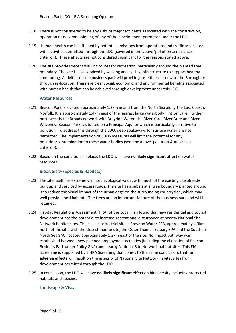- 3.18 There is not considered to be any risks of major accidents associated with the construction, operation or decommissioning of any of the development permitted under the LDO.
- 3.19 Human health can be affected by potential emissions from operations and traffic associated with activities permitted through the LDO (covered in the above 'pollution & nuisances' criterion). These effects are not considered significant for the reasons stated above.
- 3.20 The site provides decent walking routes for recreation, particularly around the planted tree boundary. The site is also serviced by walking and cycling infrastructure to support healthy commuting. Activities on the business park will provide jobs either net new to the Borough or through re-location. There are clear social, economic, and environmental benefits associated with human health that can be achieved through development under this LDO.

#### Water Resources

- <span id="page-8-0"></span>3.21 Beacon Park is located approximately 1.2km inland from the North Sea along the East Coast or Norfolk. It is approximately 1.4km east of the nearest large waterbody, Fritton Lake. Further northwest is the Broads network with Breydon Water, the River Yare, River Bure and River Waveney. Beacon Park is situated on a Principal Aquifer which is particularly sensitive to pollution. To address this through the LDO, deep soakaways for surface water are not permitted. The implementation of SUDS measures will limit the potential for any pollution/contamination to these water bodies (see the above 'pollution & nuisances' criterion).
- 3.22 Based on the conditions in place, the LDO will have **no likely significant effect** on water resources.

#### Biodiversity (Species & Habitats)

- <span id="page-8-1"></span>3.23 The site itself has extremely limited ecological value, with much of the existing site already built up and serviced by access roads. The site has a substantial tree boundary planted around it to reduce the visual impact of the urban edge on the surrounding countryside, which may well provide local habitats. The trees are an important feature of the business park and will be retained.
- 3.24 Habitat Regulations Assessment (HRA) of the Local Plan found that new residential and tourist development has the potential to increase recreational disturbance at nearby National Site Network habitat sites. The closest terrestrial site is Breydon Water SPA, approximately 4.3km north of the site, with the closest marine site, the Outer Thames Estuary SPA and the Southern North Sea SAC, located approximately 1.2km east of the site. No impact pathway was established between new planned employment activities (including the allocation of Beacon Business Park under Policy GN4) and nearby National Site Network habitat sites. This EIA Screening is supported by a HRA Screening that comes to the same conclusion, that **no adverse effects** will result on the integrity of National Site Network habitat sites from development permitted through the LDO.
- 3.25 In conclusion, the LDO will have **no likely significant effect** on biodiversity including protected habitats and species.

#### <span id="page-8-2"></span>Landscape & Visual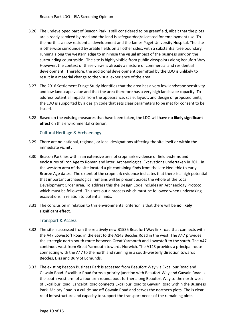Beacon Park LDO | EIA Screening Opinion

- 3.26 The undeveloped part of Beacon Park is still considered to be greenfield, albeit that the plots are already serviced by road and the land is safeguarded/allocated for employment use. To the north is a new residential development and the James Paget University Hospital. The site is otherwise surrounded by arable fields on all other sides, with a substantial tree boundary running along the western edge to minimise the visual impact of the business park on the surrounding countryside. The site is highly visible from public viewpoints along Beaufort Way. However, the context of these views is already a mixture of commercial and residential development. Therefore, the additional development permitted by the LDO is unlikely to result in a material change to the visual experience of the area.
- 3.27 The 2016 Settlement Fringe Study identifies that the area has a very low landscape sensitivity and low landscape value and that the area therefore has a very high landscape capacity. To address potential impacts from the appearance, scale, layout, and design of proposed units, the LDO is supported by a design code that sets clear parameters to be met for consent to be issued.
- 3.28 Based on the existing measures that have been taken, the LDO will have **no likely significant effect** on this environmental criterion.

#### Cultural Heritage & Archaeology

- <span id="page-9-0"></span>3.29 There are no national, regional, or local designations affecting the site itself or within the immediate vicinity.
- 3.30 Beacon Park lies within an extensive area of cropmark evidence of field systems and enclosures of Iron Age to Roman and later. Archaeological Excavations undertaken in 2011 in the western area of the site located a pit containing finds from the late Neolithic to early Bronze Age dates. The extent of the cropmark evidence indicates that there is a high potential that important archaeological remains will be present across the whole of the Local Development Order area. To address this the Design Code includes an Archaeology Protocol which must be followed. This sets out a process which must be followed when undertaking excavations in relation to potential finds.
- 3.31 The conclusion in relation to this environmental criterion is that there will be **no likely significant effect**.

#### Transport & Access

- <span id="page-9-1"></span>3.32 The site is accessed from the relatively new B1535 Beaufort Way link road that connects with the A47 Lowestoft Road in the east to the A143 Beccles Road in the west. The A47 provides the strategic north-south route between Great Yarmouth and Lowestoft to the south. The A47 continues west from Great Yarmouth towards Norwich. The A143 provides a principal route connecting with the A47 to the north and running in a south-westerly direction towards Beccles, Diss and Bury St Edmunds.
- 3.33 The existing Beacon Business Park is accessed from Beaufort Way via Excalibur Road and Gawain Road. Excalibur Road forms a priority junction with Beaufort Way and Gawain Road is the south-west arm of a four arm roundabout further along Beaufort Way to the north-west of Excalibur Road. Lancelot Road connects Excalibur Road to Gawain Road within the Business Park. Malory Road is a cul-de-sac off Gawain Road and serves the northern plots. The is clear road infrastructure and capacity to support the transport needs of the remaining plots.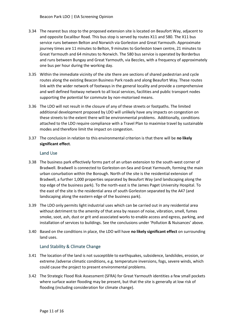- 3.34 The nearest bus stop to the proposed extension site is located on Beaufort Way, adjacent to and opposite Excalibur Road. This bus stop is served by routes X11 and 580. The X11 bus service runs between Belton and Norwich via Gorleston and Great Yarmouth. Approximate journey times are 11 minutes to Belton, 9 minutes to Gorleston town centre, 21 minutes to Great Yarmouth and 64 minutes to Norwich. The 580 bus service is operated by Borderbus and runs between Bungay and Great Yarmouth, via Beccles, with a frequency of approximately one bus per hour during the working day.
- 3.35 Within the immediate vicinity of the site there are sections of shared pedestrian and cycle routes along the existing Beacon Business Park roads and along Beaufort Way. These routes link with the wider network of footways in the general locality and provide a comprehensive and well defined footway network to all local services, facilities and public transport nodes supporting the potential for commute by non-motorised means.
- 3.36 The LDO will not result in the closure of any of these streets or footpaths. The limited additional development proposed by LDO will unlikely have any impacts on congestion on these streets to the extent there will be environmental problems. Additionally, conditions attached to the LDO require compliance with a Travel Plan to maximise travel by sustainable modes and therefore limit the impact on congestion.
- 3.37 The conclusion in relation to this environmental criterion is that there will be **no likely significant effect**.

#### Land Use

- <span id="page-10-0"></span>3.38 The business park effectively forms part of an urban extension to the south-west corner of Bradwell. Bradwell is connected to Gorleston-on-Sea and Great Yarmouth, forming the main urban conurbation within the Borough. North of the site is the residential extension of Bradwell, a further 1,000 properties separated by Beaufort Way (and landscaping along the top edge of the business park). To the north-east is the James Paget University Hospital. To the east of the site is the residential area of south Gorleston separated by the A47 (and landscaping along the eastern edge of the business park).
- 3.39 The LDO only permits light industrial uses which can be carried out in any residential area without detriment to the amenity of that area by reason of noise, vibration, smell, fumes smoke, soot, ash, dust or grit and associated works to enable access and egress, parking, and installation of services to buildings. See the conclusions under 'Pollution & Nuisances' above.
- 3.40 Based on the conditions in place, the LDO will have **no likely significant effect** on surrounding land uses.

#### Land Stability & Climate Change

- <span id="page-10-1"></span>3.41 The location of the land is not susceptible to earthquakes, subsidence, landslides, erosion, or extreme /adverse climatic conditions, e.g. temperature inversions, fogs, severe winds, which could cause the project to present environmental problems.
- 3.42 The Strategic Flood Risk Assessment (SFRA) for Great Yarmouth identities a few small pockets where surface water flooding may be present, but that the site is generally at low risk of flooding (including consideration for climate change).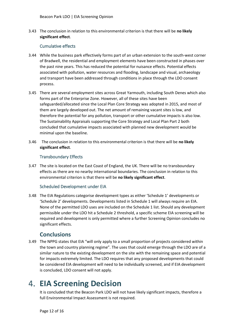3.43 The conclusion in relation to this environmental criterion is that there will be **no likely significant effect**.

#### Cumulative effects

- <span id="page-11-0"></span>3.44 While the business park effectively forms part of an urban extension to the south-west corner of Bradwell, the residential and employment elements have been constructed in phases over the past nine years. This has reduced the potential for nuisance effects. Potential effects associated with pollution, water resources and flooding, landscape and visual, archaeology and transport have been addressed through conditions in place through the LDO consent process.
- 3.45 There are several employment sites across Great Yarmouth, including South Denes which also forms part of the Enterprise Zone. However, all of these sites have been safeguarded/allocated since the Local Plan Core Strategy was adopted in 2015, and most of them are largely developed out. The net amount of remaining vacant sites is low, and therefore the potential for any pollution, transport or other cumulative impacts is also low. The Sustainability Appraisals supporting the Core Strategy and Local Plan Part 2 both concluded that cumulative impacts associated with planned new development would be minimal upon the baseline.
- 3.46 The conclusion in relation to this environmental criterion is that there will be **no likely significant effect**.

#### Transboundary Effects

<span id="page-11-1"></span>3.47 The site is located on the East Coast of England, the UK. There will be no transboundary effects as there are no nearby international boundaries. The conclusion in relation to this environmental criterion is that there will be **no likely significant effect**.

#### Scheduled Development under EIA

<span id="page-11-2"></span>3.48 The EIA Regulations categorise development types as either 'Schedule 1' developments or 'Schedule 2' developments. Developments listed in Schedule 1 will always require an EIA. None of the permitted LDO uses are included on the Schedule 1 list. Should any development permissible under the LDO hit a Schedule 2 threshold, a specific scheme EIA screening will be required and development is only permitted where a further Screening Opinion concludes no significant effects.

#### **Conclusions**

<span id="page-11-3"></span>3.49 The NPPG states that EIA "will only apply to a small proportion of projects considered within the town and country planning regime". The uses that could emerge through the LDO are of a similar nature to the existing development on the site with the remaining space and potential for impacts extremely limited. The LDO requires that any proposed developments that could be considered EIA development will need to be individually screened, and if EIA development is concluded, LDO consent will not apply.

## <span id="page-11-4"></span>**EIA Screening Decision**

It is concluded that the Beacon Park LDO will not have likely significant impacts, therefore a full Environmental Impact Assessment is not required.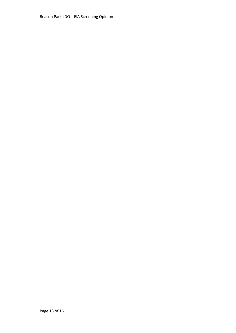Beacon Park LDO | EIA Screening Opinion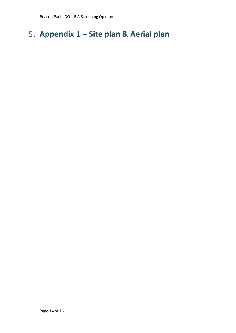## <span id="page-13-0"></span>**Appendix 1 – Site plan & Aerial plan**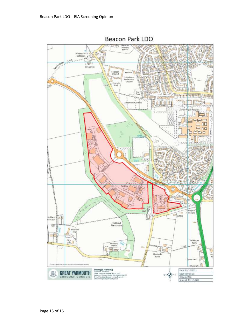

### **Beacon Park LDO**